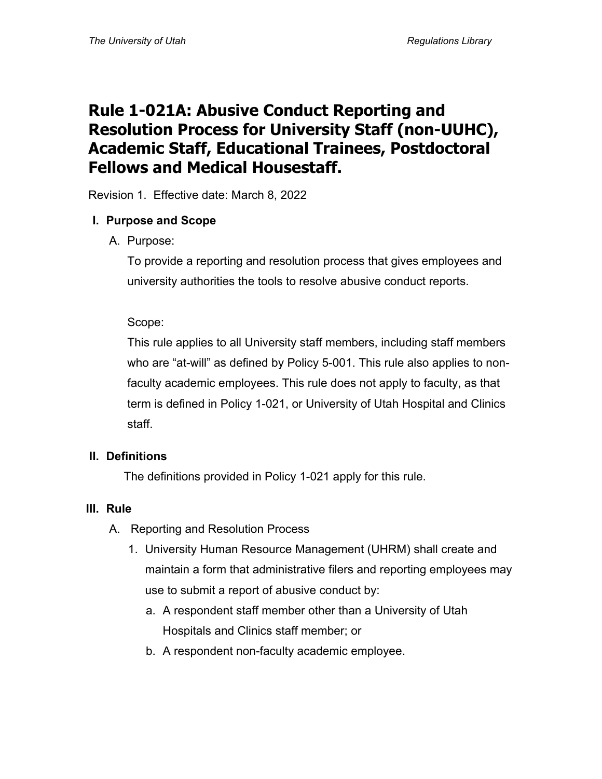# **Rule 1-021A: Abusive Conduct Reporting and Resolution Process for University Staff (non-UUHC), Academic Staff, Educational Trainees, Postdoctoral Fellows and Medical Housestaff.**

Revision 1. Effective date: March 8, 2022

### **I. Purpose and Scope**

A. Purpose:

To provide a reporting and resolution process that gives employees and university authorities the tools to resolve abusive conduct reports.

### Scope:

This rule applies to all University staff members, including staff members who are "at-will" as defined by Policy 5-001. This rule also applies to nonfaculty academic employees. This rule does not apply to faculty, as that term is defined in Policy 1-021, or University of Utah Hospital and Clinics staff.

## **II. Definitions**

The definitions provided in Policy 1-021 apply for this rule.

#### **III. Rule**

- A. Reporting and Resolution Process
	- 1. University Human Resource Management (UHRM) shall create and maintain a form that administrative filers and reporting employees may use to submit a report of abusive conduct by:
		- a. A respondent staff member other than a University of Utah Hospitals and Clinics staff member; or
		- b. A respondent non-faculty academic employee.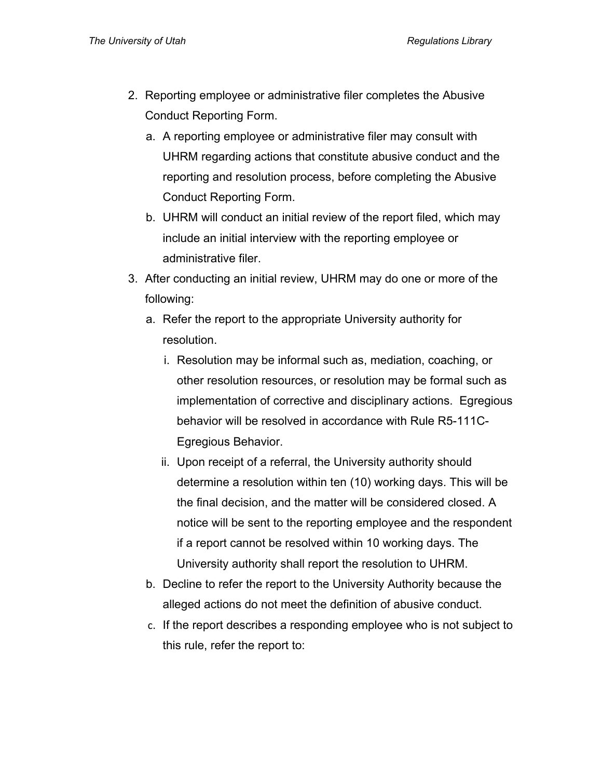- 2. Reporting employee or administrative filer completes the Abusive Conduct Reporting Form.
	- a. A reporting employee or administrative filer may consult with UHRM regarding actions that constitute abusive conduct and the reporting and resolution process, before completing the Abusive Conduct Reporting Form.
	- b. UHRM will conduct an initial review of the report filed, which may include an initial interview with the reporting employee or administrative filer.
- 3. After conducting an initial review, UHRM may do one or more of the following:
	- a. Refer the report to the appropriate University authority for resolution.
		- i. Resolution may be informal such as, mediation, coaching, or other resolution resources, or resolution may be formal such as implementation of corrective and disciplinary actions. Egregious behavior will be resolved in accordance with Rule R5-111C-Egregious Behavior.
		- ii. Upon receipt of a referral, the University authority should determine a resolution within ten (10) working days. This will be the final decision, and the matter will be considered closed. A notice will be sent to the reporting employee and the respondent if a report cannot be resolved within 10 working days. The University authority shall report the resolution to UHRM.
	- b. Decline to refer the report to the University Authority because the alleged actions do not meet the definition of abusive conduct.
	- c. If the report describes a responding employee who is not subject to this rule, refer the report to: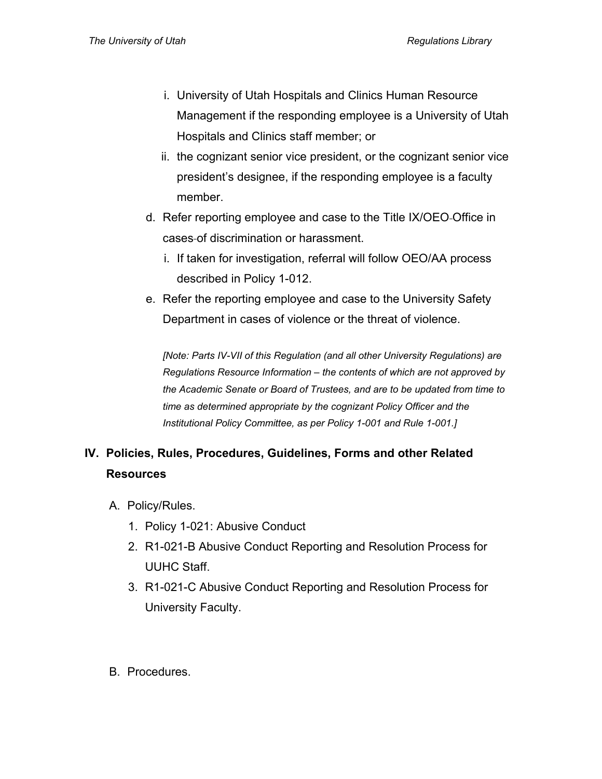- i. University of Utah Hospitals and Clinics Human Resource Management if the responding employee is a University of Utah Hospitals and Clinics staff member; or
- ii. the cognizant senior vice president, or the cognizant senior vice president's designee, if the responding employee is a faculty member.
- d. Refer reporting employee and case to the Title IX/OEO Office in cases of discrimination or harassment.
	- i. If taken for investigation, referral will follow OEO/AA process described in Policy 1-012.
- e. Refer the reporting employee and case to the University Safety Department in cases of violence or the threat of violence.

*[Note: Parts IV-VII of this Regulation (and all other University Regulations) are Regulations Resource Information – the contents of which are not approved by the Academic Senate or Board of Trustees, and are to be updated from time to time as determined appropriate by the cognizant Policy Officer and the Institutional Policy Committee, as per Policy 1-001 and Rule 1-001.]*

# **IV. Policies, Rules, Procedures, Guidelines, Forms and other Related Resources**

- A. Policy/Rules.
	- 1. Policy 1-021: Abusive Conduct
	- 2. R1-021-B Abusive Conduct Reporting and Resolution Process for UUHC Staff.
	- 3. R1-021-C Abusive Conduct Reporting and Resolution Process for University Faculty.
- B. Procedures.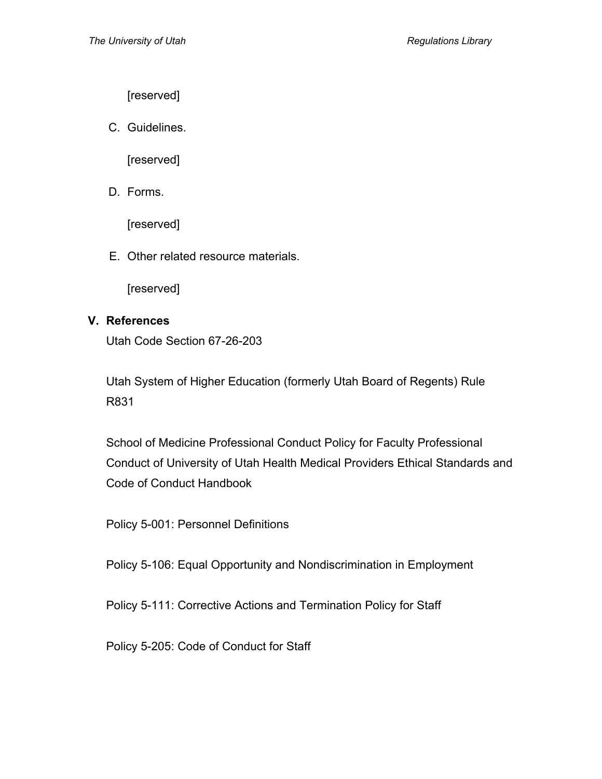[reserved]

C. Guidelines.

[reserved]

D. Forms.

[reserved]

E. Other related resource materials.

[reserved]

#### **V. References**

Utah Code Section 67-26-203

Utah System of Higher Education (formerly Utah Board of Regents) Rule R831

School of Medicine Professional Conduct Policy for Faculty Professional Conduct of University of Utah Health Medical Providers Ethical Standards and Code of Conduct Handbook

Policy 5-001: Personnel Definitions

Policy 5-106: Equal Opportunity and Nondiscrimination in Employment

Policy 5-111: Corrective Actions and Termination Policy for Staff

Policy 5-205: Code of Conduct for Staff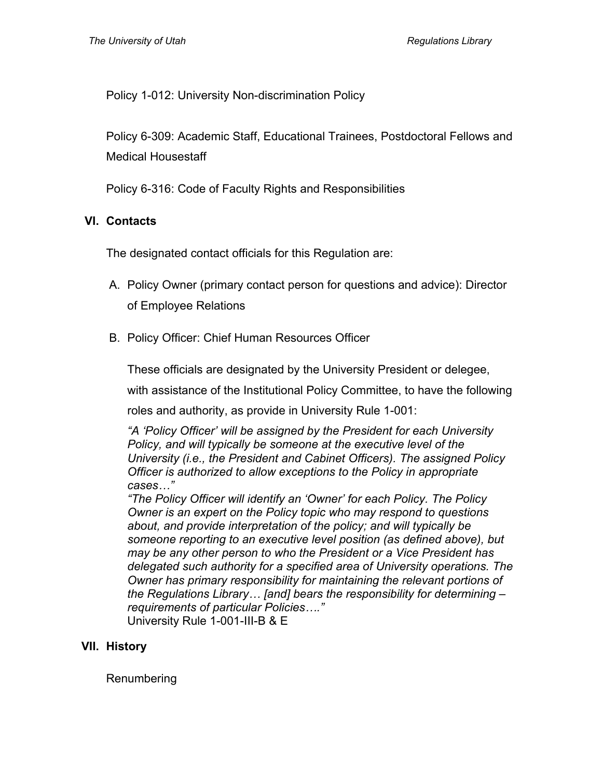Policy 1-012: University Non-discrimination Policy

Policy 6-309: Academic Staff, Educational Trainees, Postdoctoral Fellows and Medical Housestaff

Policy 6-316: Code of Faculty Rights and Responsibilities

#### **VI. Contacts**

The designated contact officials for this Regulation are:

- A. Policy Owner (primary contact person for questions and advice): Director of Employee Relations
- B. Policy Officer: Chief Human Resources Officer

These officials are designated by the University President or delegee,

with assistance of the Institutional Policy Committee, to have the following

roles and authority, as provide in University Rule 1-001:

*"A 'Policy Officer' will be assigned by the President for each University Policy, and will typically be someone at the executive level of the University (i.e., the President and Cabinet Officers). The assigned Policy Officer is authorized to allow exceptions to the Policy in appropriate cases…"*

*"The Policy Officer will identify an 'Owner' for each Policy. The Policy Owner is an expert on the Policy topic who may respond to questions about, and provide interpretation of the policy; and will typically be someone reporting to an executive level position (as defined above), but may be any other person to who the President or a Vice President has delegated such authority for a specified area of University operations. The Owner has primary responsibility for maintaining the relevant portions of the Regulations Library… [and] bears the responsibility for determining – requirements of particular Policies…."*  University Rule 1-001-III-B & E

#### **VII. History**

Renumbering